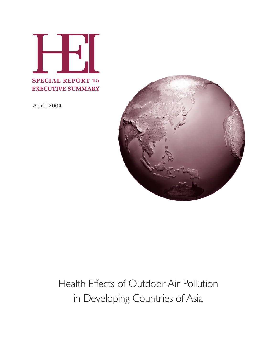

April 2004



# Health Effects of Outdoor Air Pollution in Developing Countries of Asia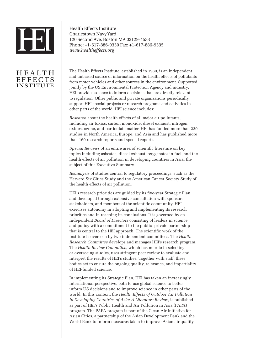

Health Effects Institute Charlestown Navy Yard 120 Second Ave, Boston MA 02129-4533 Phone: +1-617-886-9330 Fax: +1-617-886-9335 *www.healtheffects.org*

# **HEALTH EFFECTS** INSTITUTE

The Health Effects Institute, established in 1980, is an independent and unbiased source of information on the health effects of pollutants from motor vehicles and other sources in the environment. Supported jointly by the US Environmental Protection Agency and industry, HEI provides science to inform decisions that are directly relevant to regulation. Other public and private organizations periodically support HEI special projects or research programs and activities in other parts of the world. HEI science includes:

*Research* about the health effects of all major air pollutants, including air toxics, carbon monoxide, diesel exhaust, nitrogen oxides, ozone, and particulate matter. HEI has funded more than 220 studies in North America, Europe, and Asia and has published more than 160 research reports and special reports.

*Special Reviews* of an entire area of scientific literature on key topics including asbestos, diesel exhaust, oxygenates in fuel, and the health effects of air pollution in developing countries in Asia, the subject of this Executive Summary.

*Reanalysis* of studies central to regulatory proceedings, such as the Harvard Six Cities Study and the American Cancer Society Study of the health effects of air pollution.

HEI's research priorities are guided by its five-year Strategic Plan and developed through extensive consultation with sponsors, stakeholders, and members of the scientific community. HEI exercises autonomy in adopting and implementing its research priorities and in reaching its conclusions. It is governed by an independent *Board of Directors* consisting of leaders in science and policy with a commitment to the public–private partnership that is central to the HEI approach. The scientific work of the institute is overseen by two independent committees. The *Health Research Committee* develops and manages HEI's research program. The *Health Review Committee*, which has no role in selecting or overseeing studies, uses stringent peer review to evaluate and interpret the results of HEI's studies. Together with staff, these bodies act to ensure the ongoing quality, relevance, and impartiality of HEI-funded science.

In implementing its Strategic Plan, HEI has taken an increasingly international perspective, both to use global science to better inform US decisions and to improve science in other parts of the world. In this context, the *Health Effects of Outdoor Air Pollution in Developing Countries of Asia: A Literature Review*, is published as part of HEI's Public Health and Air Pollution in Asia (PAPA) program. The PAPA program is part of the Clean Air Initiative for Asian Cities, a partnership of the Asian Development Bank and the World Bank to inform measures taken to improve Asian air quality.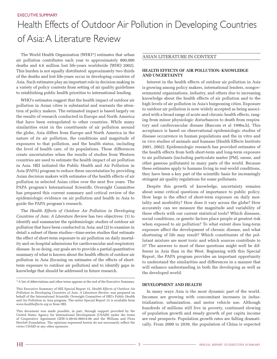# Health Effects of Outdoor Air Pollution in Developing Countries of Asia: A Literature Review

The World Health Organization (WHO\*) estimates that urban air pollution contributes each year to approximately 800,000 deaths and 4.6 million lost life-years worldwide (WHO 2002). This burden is not equally distributed: approximately two thirds of the deaths and lost life-years occur in developing countries of Asia. Such estimates play an important role in decision making in a variety of policy contexts from setting of air quality guidelines to establishing public health priorities to international lending.

WHO's estimates suggest that the health impact of outdoor air pollution in Asian cities is substantial and warrants the attention of policy makers. The estimated impact is based largely on the results of research conducted in Europe and North America that have been extrapolated to other countries. While many similarities exist in the constituents of air pollution around the globe, Asia differs from Europe and North America in the nature of its air pollution, the conditions and magnitude of exposures to that pollution, and the health status, including the level of health care, of its populations. These differences create uncertainties when the results of studies from Western countries are used to estimate the health impact of air pollution in Asia. HEI initiated the Public Health and Air Pollution in Asia (PAPA) program to reduce these uncertainties by providing Asian decision makers with estimates of the health effects of air pollution in selected Asian cities over the next five years. The PAPA program's International Scientific Oversight Committee has prepared this current summary and critical review of the epidemiologic evidence on air pollution and health in Asia to guide the PAPA program's research.

The *Health Effects of Outdoor Air Pollution in Developing Countries of Asia: A Literature Review* has two objectives: (1) to identify and summarize the epidemiologic studies of outdoor air pollution that have been conducted in Asia; and (2) to examine in detail a subset of these studies—time-series studies that estimate the effect of short-term exposure to air pollution on daily mortality and on hospital admissions for cardiovascular and respiratory disease. In so doing, our goals are to provide a partial quantitative summary of what is known about the health effects of outdoor air pollution in Asia (focusing on estimates of the effects of shortterm exposure to outdoor air pollution) and to identify gaps in knowledge that should be addressed in future research.

#### ASIAN LITERATURE IN CONTEXT

#### **HEALTH EFFECTS OF AIR POLLUTION: KNOWLEDGE AND UNCERTAINTY**

Interest in the health effects of outdoor air pollution in Asia is growing among policy makers, international lenders, nongovernmental organizations, industry, and others due to increasing knowledge about the health effects of air pollution and to the high levels of air pollution in Asia's burgeoning cities. Exposure to outdoor air pollution is now widely accepted as being associated with a broad range of acute and chronic health effects, ranging from minor physiologic disturbances to death from respiratory and cardiovascular disease (Bascom et al 1996a,b). This acceptance is based on observational epidemiologic studies of disease occurrence in human populations and the in vitro and in vivo studies of animals and humans (Health Effects Institute 2001, 2002). Epidemiologic research has provided estimates of the health effects from both short-term and long-term exposure to air pollutants (including particulate matter [PM], ozone, and other gaseous pollutants) in many parts of the world. Because these estimates apply to humans living in real-world conditions, they have been a key part of the scientific basis for increasingly stringent air quality regulations for some pollutants.

Despite this growth of knowledge, uncertainty remains about some critical questions of importance to public policy. How large is the effect of short-term exposure on daily mortality and morbidity? How does it vary across the globe? How accurately can we measure the magnitude and variability of these effects with our current statistical tools? Which diseases, social conditions, or genetic factors place people at greatest risk when exposed to air pollution? To what extent does long-term exposure affect the development of chronic disease, and what shortening of life may result? Which constituents of the pollutant mixture are most toxic and which sources contribute to it? The answers to most of these questions might well be different in Asia than in the West. Beginning with this Special Report, the PAPA program provides an important opportunity to understand the similarities and differences in a manner that will enhance understanding in both the developing as well as the developed world.

#### **DEVELOPMENT AND HEALTH**

In many ways Asia is the most dynamic part of the world. Incomes are growing with concomitant increases in industrialization, urbanization, and motor vehicle use. Although hundreds of millions still live in poverty, continued slowing of population growth and steady growth of per capita income are real prospects. Population growth rates are falling dramatically. From 2000 to 2030, the population of China is expected

<sup>\*</sup>A list of abbreviations and other terms appears at the end of the Executive Summary.

This Executive Summary of HEI Special Report 15, *Health Effects of Outdoor Air Pollution in Developing Countries of Asia: A Literature Review*, was prepared on behalf of the International Scientific Oversight Committee of HEI's Public Health and Air Pollution in Asia program. The entire Special Report 15 is available from *www.healtheffects.org* or from HEI.

This document was made possible, in part, through support provided by the United States Agency for International Development (USAID) under the terms of Cooperative Agreement GEW-A-00-02-00014-00 and the William and Flora Hewlett Foundation. The opinions expressed herein do not necessarily reflect the views USAID or any other sponsors.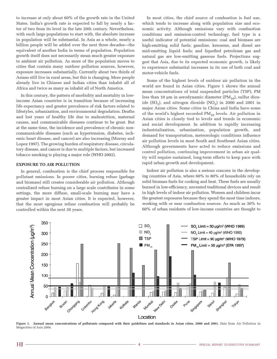to increase at only about 60% of the growth rate in the United States. India's growth rate is expected to fall by nearly a factor of two from its level in the late 20th century. Nevertheless, with such large populations to start with, the absolute increase in population will be substantial. In Asia as a whole, nearly a billion people will be added over the next three decades—the equivalent of another India in terms of population. Population growth itself does not necessarily mean much greater exposure to ambient air pollution. As more of the population moves to cities that contain many outdoor pollution sources, however, exposure increases substantially. Currently about two thirds of Asians still live in rural areas, but this is changing. More people already live in Chinese and Indian cities than inhabit all of Africa and twice as many as inhabit all of North America.

In this century, the pattern of morbidity and mortality in lowincome Asian countries is in transition because of increasing life expectancy and greater prevalence of risk factors related to lifestyles, urbanization, and environmental degradation. Deaths and lost years of healthy life due to malnutrition, maternal causes, and communicable diseases continue to be great. But at the same time, the incidence and prevalence of chronic noncommunicable diseases (such as hypertension, diabetes, ischemic heart disease, and cancer) are also increasing (Murray and Lopez 1997). The growing burden of respiratory disease, circulatory disease, and cancer is due to multiple factors, but increased tobacco smoking is playing a major role (WHO 2002).

### **EXPOSURE TO AIR POLLUTION**

In general, combustion is the chief process responsible for pollutant emissions. In poorer cities, burning refuse (garbage and biomass) still creates considerable air pollution. Although centralized refuse burning on a large scale contributes in some settings, the more diffuse, small-scale burning may have a greater impact in most Asian cities. It is expected, however, that the most egregious refuse combustion will probably be controlled within the next 30 years.

In most cities, the chief source of combustion is fuel use, which tends to increase along with population size and economic activity. Although emissions vary with combustion conditions and emission-control technology, fuel type is a useful indicator of potential emissions: coal and biomass are high-emitting solid fuels; gasoline, kerosene, and diesel are mid-emitting liquid fuels; and liquefied petroleum gas and natural gas are low-emitting gaseous fuels. Projections suggest that Asia, due to its expected economic growth, is likely to experience substantial increases in its use of both coal and motor-vehicle fuels.

Some of the highest levels of outdoor air pollution in the world are found in Asian cities. Figure 1 shows the annual mean concentrations of total suspended particles (TSP), PM less than 10  $\mu$ m in aerodynamic diameter (PM<sub>10</sub>), sulfur dioxide (SO<sub>2</sub>), and nitrogen dioxide (NO<sub>2</sub>) in 2000 and 2001 in major Asian cities. Some cities in China and India have some of the world's highest recorded  $PM_{10}$  levels. Air pollution in Asian cities is closely tied to levels and trends in economic and social development. In addition to rapidly increasing industrialization, urbanization, population growth, and demand for transportation, meteorologic conditions influence air pollution levels in most South and Southeast Asian cities. Although governments have acted to reduce emissions and control pollution, continuing improvement in urban air quality will require sustained, long-term efforts to keep pace with rapid urban growth and development.

Indoor air pollution is also a serious concern in the developing countries of Asia, where 60% to 80% of households rely on solid biomass fuels for cooking and heat. These fuels are usually burned in low-efficiency, unvented traditional devices and result in high levels of indoor air pollution. Women and children incur the greatest exposures because they spend the most time indoors, working with or near combustion sources. As much as 30% to 60% of urban residents of low-income countries are thought to



Figure 1. Annual mean concentrations of pollutants compared with their guidelines and standards in Asian cities, 2000 and 2001. Data from Air Pollution in Megacities of Asia 2004.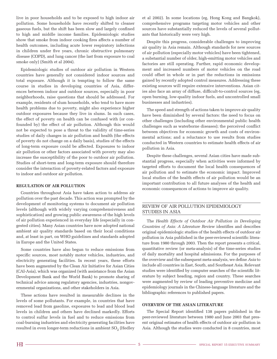live in poor households and to be exposed to high indoor air pollution. Some households have recently shifted to cleaner gaseous fuels, but the shift has been slow and largely confined to high and middle income families. Epidemiologic studies show that smoke from indoor cooking fires affects a number of health outcomes, including acute lower respiratory infections in children under five years, chronic obstructive pulmonary disease (COPD), and lung cancer (the last from exposure to coal smoke only) (Smith et al 2004).

Epidemiologic studies of outdoor air pollution in Western countries have generally not considered indoor sources and total exposure. Although it is tempting to follow the same course in studies in developing countries of Asia, differences between indoor and outdoor sources, especially in poor neighborhoods, raise questions that should be addressed. For example, residents of slum households, who tend to have more health problems due to poverty, might also experience higher outdoor exposures because they live in slums. In such cases, the effect of poverty on health can be confused with (or confounded by) the effect of air pollution. Although this would not be expected to pose a threat to the validity of time-series studies of daily changes in air pollution and health (the effects of poverty do not change on a daily basis), studies of the effects of long-term exposure could be affected. Exposures to indoor air pollution or other factors associated with poverty may also increase the susceptibility of the poor to outdoor air pollution. Studies of short-term and long-term exposure should therefore consider the interaction of poverty-related factors and exposure to indoor and outdoor air pollution.

#### **REGULATION OF AIR POLLUTION**

Countries throughout Asia have taken action to address air pollution over the past decade. This action was prompted by the development of monitoring systems to document air pollution levels (although with widely varying comprehensiveness and sophistication) and growing public awareness of the high levels of air pollution experienced in everyday life (especially in congested cities). Many Asian countries have now adopted national ambient air quality standards based on their local conditions and, at least in part, on WHO guidelines and standards adopted in Europe and the United States.

Some countries have also begun to reduce emissions from specific sources, most notably motor vehicles, industries, and electricity generating facilities. In recent years, these efforts have been augmented by the Clean Air Initiative for Asian Cities (CAI-Asia), which was organized (with assistance from the Asian Development Bank and the World Bank) to promote sharing of technical advice among regulatory agencies, industries, nongovernmental organizations, and other stakeholders in Asia.

These actions have resulted in measurable declines in the levels of some pollutants. For example, in countries that have removed lead from gasoline, exposures to lead and blood lead levels in children and others have declined markedly. Efforts to control sulfur levels in fuel and to reduce emissions from coal-burning industries and electricity generating facilities have resulted in even longer-term reductions in ambient SO<sub>2</sub> (Hedley

et al 2002). In some locations (eg, Hong Kong and Bangkok), comprehensive programs targeting motor vehicles and other sources have substantially reduced the levels of several pollutants that historically were very high.

Despite this progress, considerable challenges to improving air quality in Asia remain. Although standards for new sources of air pollution (especially motor vehicles) have been tightened, a substantial number of older, high-emitting motor vehicles and factories are still operating. Further, rapid economic development and increased numbers of motor vehicles on the road could offset in whole or in part the reductions in emissions gained by recently adopted control measures. Addressing these existing sources will require extensive interventions. Asian cities also face an array of diffuse, difficult-to-control sources (eg, open burning, low-quality indoor fuels, and uncontrolled small businesses and industries).

The speed and strength of actions taken to improve air quality have been diminished by several factors: the need to focus on other challenges (including other environmental public health challenges such as waterborne diseases); the perceived conflict between objectives for economic growth and costs of environmental actions; and a reluctance to use results from studies conducted in Western countries to estimate health effects of air pollution in Asia.

Despite these challenges, several Asian cities have made substantial progress, especially when activities were informed by targeted efforts to document the local health consequences of air pollution and to estimate the economic impact. Improved local studies of the health effects of air pollution would be an important contribution to all future analyses of the health and economic consequences of actions to improve air quality.

# REVIEW OF AIR POLLUTION EPIDEMIOLOGY STUDIES IN ASIA

The *Health Effects of Outdoor Air Pollution in Developing Countries of Asia: A Literature Review* identifies and describes original epidemiologic studies of the health effects of outdoor air pollution in Asia published in the peer-reviewed scientific literature from 1980 through 2003. Then the report presents a critical, quantitative review (or meta-analysis) of the time-series studies of daily mortality and hospital admissions. For the purposes of the overview and the subsequent meta-analysis, we define *Asia* to include all countries in East, South, and Southeast Asia. Relevant studies were identified by computer searches of the scientific literature by subject heading, region and country. These searches were augmented by review of leading preventive medicine and epidemiology journals in the Chinese-language literature and the bibliographic references to published papers.

### **OVERVIEW OF THE ASIAN LITERATURE**

The Special Report identified 138 papers published in the peer-reviewed literature between 1980 and June 2003 that present original estimates of health effects of outdoor air pollution in Asia. Although the studies were conducted in 8 countries, most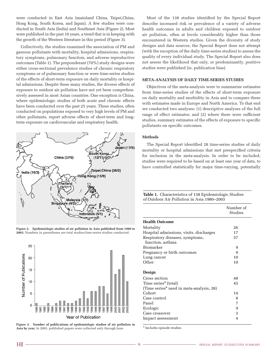were conducted in East Asia (mainland China, Taipei,China, Hong Kong, South Korea, and Japan). A few studies were conducted in South Asia (India) and Southeast Asia (Figure 2). Most were published in the past 10 years, a trend that is in keeping with the growth of the Western literature in this period (Figure 3).

Collectively, the studies examined the association of PM and gaseous pollutants with mortality, hospital admissions, respiratory symptoms, pulmonary function, and adverse reproductive outcomes (Table 1). The preponderant (70%) study designs were either cross-sectional prevalence studies of chronic respiratory symptoms or of pulmonary function or were time-series studies of the effects of short-term exposure on daily mortality or hospital admissions. Despite these many studies, the diverse effects of exposure to outdoor air pollution have not yet been comprehensively assessed in most Asian countries. One exception is China, where epidemiologic studies of both acute and chronic effects have been conducted over the past 25 years. These studies, often conducted on populations exposed to very high levels of PM and other pollutants, report adverse effects of short-term and longterm exposure on cardiovascular and respiratory health.



**Figure 2. Epidemiologic studies of air pollution in Asia published from 1980 to 2003.** Numbers in parentheses are total studies/time-series studies conducted.



Figure 3. Number of publications of epidemiologic studies of air pollution in **Asia by year.** In 2003, published papers were collected only through June.

Most of the 138 studies identified by the Special Report describe increased risk or prevalence of a variety of adverse health outcomes in adults and children exposed to outdoor air pollution, often at levels considerably higher than those encountered in Western studies. Given the diversity of study designs and data sources, the Special Report does not attempt (with the exception of the daily time-series studies) to assess the quality of every individual study. The Special Report also does not assess the likelihood that only, or predominantly, positive studies were published (ie, publication bias).

#### **META-ANALYSIS OF DAILY TIME-SERIES STUDIES**

Objectives of the meta-analysis were to summarize estimates from time-series studies of the effects of short-term exposure on daily mortality and morbidity in Asia and to compare these with estimates made in Europe and North America. To that end we conducted two analyses: (1) descriptive analyses of the full range of effect estimates; and (2) where there were sufficient studies, summary estimates of the effects of exposure to specific pollutants on specific outcomes.

#### **Methods**

The Special Report identified 28 time-series studies of daily mortality or hospital admissions that met prespecified criteria for inclusion in the meta-analysis. In order to be included, studies were required to be based on at least one year of data, to have controlled statistically for major time-varying, potentially

| Table 1. Characteristics of 138 Epidemiologic Studies |
|-------------------------------------------------------|
| of Outdoor Air Pollution in Asia 1980–2003            |

|                                                      | Number of<br>Studies |
|------------------------------------------------------|----------------------|
| <b>Health Outcome</b>                                |                      |
| Mortality                                            | 26                   |
| Hospital admissions, visits, discharges              | 17                   |
| Respiratory diseases, symptoms,<br>function, asthma  | 57                   |
| Biomarker                                            | 9                    |
| Pregnancy or birth outcomes                          | 9                    |
| Lung cancer                                          | 10                   |
| Other                                                | 10                   |
| Design                                               |                      |
| Cross section                                        | 48                   |
| Time series <sup>a</sup> (total)                     | 45                   |
| (Time series <sup>a</sup> used in meta-analysis, 28) |                      |
| Cohort                                               | 14                   |
| Case control                                         | 8                    |
| Panel                                                | 7                    |
| Ecologic                                             | 9                    |
| Case crossover                                       | 3                    |
| Impact assessment                                    | 4                    |

<sup>a</sup> Includes episode studies.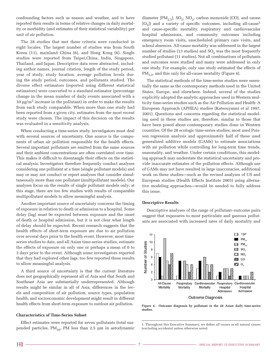confounding factors such as season and weather, and to have reported their results in terms of relative changes in daily mortality or morbidity (and estimates of their statistical variability) per unit of air pollution.

The 28 studies that met these criteria were conducted in eight locales. The largest number of studies was from South Korea (11), mainland China (6), and Hong Kong (6). Single studies were reported from Taipei,China, India, Singapore, Thailand, and Japan. Descriptive data were abstracted, including author names, journal citation, length of the study period, year of study, study location, average pollution levels during the study period, outcomes, and pollutants studied. The diverse effect estimators (reported using different statistical estimators) were converted to a standard estimator (percentage change in the mean number of daily events associated with a 10  $\mu$ g/m<sup>3</sup> increase in the pollutant) in order to make the results from each study comparable. When more than one study had been reported from a given city, estimates from the most recent study were chosen. The impact of this decision on the results was evaluated in a sensitivity analysis.

When conducting a time-series study, investigators must deal with several sources of uncertainty. One source is the components of urban air pollution responsible for the health effects. Several important pollutants are emitted from the same sources and their ambient concentrations are often correlated over time. This makes it difficult to disentangle their effects on the statistical analysis. Investigators therefore frequently conduct analyses considering one pollutant at a time (single pollutant models) and may or may not conduct or report analyses that consider simultaneously more than one pollutant (multipollutant models). Our analyses focus on the results of single pollutant models only; at this stage, there are too few studies with results of comparable multipollutant models to allow meaningful analysis.

Another important source of uncertainty concerns the timing of exposure in relation to death or admission to a hospital. Some delay (lag) must be expected between exposure and the onset of death or hospital admission, but it is not clear what length of delay should be expected. Recent research suggests that the health effects of short-term exposure are due to air pollution over several days prior to the health event. However, most timeseries studies to date, and all Asian time-series studies, estimate the effects of exposure on only one or perhaps a mean of 0 to 3 days prior to the event. Although some investigators reported that they had explored other lags, too few reported these results to allow meaningful analysis.

A third source of uncertainty is that the current literature does not geographically represent all of Asia and that South and Southeast Asia are substantially underrepresented. Although results might be similar in all of Asia, differences in the levels and composition of air pollution, source types, population health, and socioeconomic development might result in different health effects from short-term exposure to outdoor air pollution.

#### **Characteristics of Time-Series Subset**

Effect estimates were reported for seven pollutants (total suspended particles,  $PM_{10}$ , PM less than 2.5 µm in aerodynamic diameter  $[PM_{2.5}]$ ,  $SO_2$ ,  $NO_2$ , carbon monoxide [CO], and ozone  $[O_3]$  and a variety of specific outcomes, including all-cause<sup>1</sup> and cause-specific mortality, respiratory and cardiovascular hospital admissions, and community outcomes including emergency room visits, unscheduled primary care visits, and school absences. All-cause mortality was addressed in the largest number of studies (13 studies) and  $SO<sub>2</sub>$  was the most frequently studied pollutant (11 studies). Not all combinations of pollutants and outcomes were studied and many were addressed in only one study. For example, only one study estimated the effects of  $PM_{2.5}$ , and this only for all-cause mortality (Figure 4).

The statistical methods of the time-series studies were essentially the same as the contemporary methods used in the United States, Europe, and elsewhere. Indeed, several of the studies explicitly adopted the analytic approaches used in Western multicity time-series studies such as the Air Pollution and Health: A European Approach (APHEA) studies (Katsouyanni et al 1997, 2001). Questions and concerns regarding the statistical modeling used in these studies are, therefore, similar to those that have been posed about contemporary studies done in Western countries. Of the 28 ecologic time-series studies, most used Poisson regression analysis and approximately half of these used generalized additive models (GAMs) to estimate associations with air pollution while controlling for long-term time trends, seasonality, and weather. Under certain conditions, this modeling approach may understate the statistical uncertainty and provide inaccurate estimates of the pollution effects. Although use of GAMs may not have resulted in large inaccuracies, additional work on these studies—such as the revised analyses of US and European studies (Health Effects Institute 2003) using alternative modeling approaches—would be needed to fully address this issue.

#### **Descriptive Results**

Descriptive analyses of the range of pollutant–outcome pairs suggest that exposures to most particulate and gaseous pollutants are associated with increased rates of daily mortality and



**Figure 4. Outcome diagnosis by pollutant in the 28 Asian daily time-series studies.**

1. Throughout this Executive Summary, we define *all causes* as all natural causes (excluding accidents) unless otherwise noted.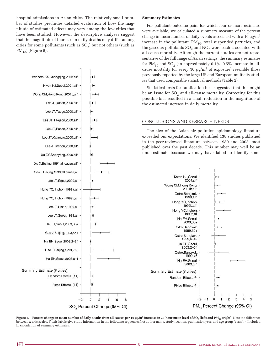hospital admissions in Asian cities. The relatively small number of studies precludes detailed evaluation of how the magnitude of estimated effects may vary among the few cities that have been studied. However, the descriptive analyses suggest that the magnitude of increase in daily deaths may differ among cities for some pollutants (such as  $SO<sub>2</sub>$ ) but not others (such as  $PM_{10}$ ) (Figure 5).



SO<sub>2</sub> Percent Change (95% CI)

#### **Summary Estimates**

For pollutant–outcome pairs for which four or more estimates were available, we calculated a summary measure of the percent change in mean number of daily events associated with a 10  $\mu$ g/m<sup>3</sup> increase in the pollutant.  $PM_{10}$ , total suspended particles, and the gaseous pollutants  $SO_2$  and  $NO_2$  were each associated with all-cause mortality. Although the current studies are not representative of the full range of Asian settings, the summary estimates for  $PM_{10}$  and  $SO_2$  (an approximately 0.4%–0.5% increase in allcause mortality for every 10  $\mu$ g/m<sup>3</sup> of exposure) resemble those previously reported by the large US and European multicity studies that used comparable statistical methods (Table 2).

Statistical tests for publication bias suggested that this might be an issue for  $SO<sub>2</sub>$  and all-cause mortality. Correcting for this possible bias resulted in a small reduction in the magnitude of the estimated increase in daily mortality.

#### CONCLUSIONS AND RESEARCH NEEDS

Kwon HJ, Seoul, 2001, all\*

Ostro, Bangkok, 1999.all\*

Hong YC, Inchon, 1999b.all\*

Hong YC, Inchon, 1999a, all

> Ha EH, Seoul, 2003,65+

Ostro, Bangkok, 1999,50+

Ostro, Bangkok 1999,6-49

> Ha EH, Seoul, 2003,2-64

Ostro, Bangkok,  $1999,<sub>6</sub>$ 

> Ha EH, Seoul,  $2003.0 - 1$

Fixed Effects(4)

2001b, all\*

The size of the Asian air pollution epidemiology literature exceeded our expectations. We identified 138 studies published in the peer-reviewed literature between 1980 and 2003, most published over the past decade. This number may well be an underestimate because we may have failed to identify some



5

 $\overline{4}$ 

 $\mathsf{O}\xspace$  $\mathbf{1}$  $\mathbf 2$ 3

PM<sub>10</sub> Percent Change (95% CI)

 $-2$  $-1$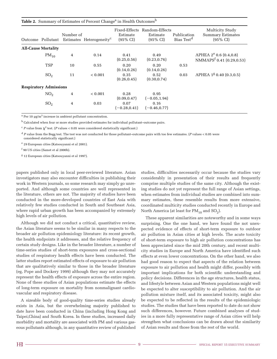| Table 2. Summary of Estimates of Percent Change <sup>a</sup> in Health Outcomes <sup>b</sup> |  |
|----------------------------------------------------------------------------------------------|--|
|----------------------------------------------------------------------------------------------|--|

| Outcome Pollutant             | Number of | Estimates Heterogeneity <sup>c</sup> | Fixed-Effects<br>Estimate<br>$(95\% \text{ CI})$ | Random-Effects<br>Estimate<br>$(95\% \text{ CI})$ | Publication<br>Bias Test <sup>d</sup> | Multicity Study<br><b>Summary Estimates</b><br>$(95\% \text{ CI})$ |
|-------------------------------|-----------|--------------------------------------|--------------------------------------------------|---------------------------------------------------|---------------------------------------|--------------------------------------------------------------------|
| <b>All-Cause Mortality</b>    |           |                                      |                                                  |                                                   |                                       |                                                                    |
| $PM_{10}$                     | 4         | 0.14                                 | 0.41<br>(0.25, 0.56)                             | 0.49<br>(0.23, 0.76)                              |                                       | APHEA $2^e$ 0.6 (0.4,0.8)<br>NMMAPS <sup>f</sup> 0.41 (0.29,0.53)  |
| <b>TSP</b>                    | 10        | 0.55                                 | 0.20<br>(0.14, 0.26)                             | 0.20<br>(0.14, 0.26)                              | 0.53                                  |                                                                    |
| SO <sub>2</sub>               | 11        | < 0.001                              | 0.35<br>(0.26, 0.45)                             | 0.52<br>(0.30, 0.74)                              | 0.03                                  | APHEA $1g$ 0.40 (0.3,0.5)                                          |
| <b>Respiratory Admissions</b> |           |                                      |                                                  |                                                   |                                       |                                                                    |
| NO <sub>2</sub>               | 4         | < 0.001                              | 0.28<br>(0.09, 0.47)                             | 0.95<br>$(-0.05, 1.94)$                           |                                       |                                                                    |
| SO <sub>2</sub>               | 4         | 0.03                                 | 0.07<br>$(-0.28, 0.41)$                          | 0.16<br>$(-0.46, 0.77)$                           |                                       |                                                                    |

 $a$  Per 10  $\mu$ g/m<sup>3</sup> increase in ambient pollutant concentration.

b Calculated when four or more studies provided estimates for individual pollutant–outcome pairs.

 $\frac{c}{c}$  *P* value from  $\chi^2$  test. (*P* values < 0.05 were considered statistically significant.)

<sup>d</sup> *P* value from the Begg test. The test was not conducted for those pollutant–outcome pairs with too few estimates. (*P* values < 0.05 were considered statistically significant.)

e 29 European cities (Katsouyanni et al 2001).

f 90 US cities (Samet et al 2000b).

g 12 European cities (Katsouyanni et al 1997).

papers published only in local peer-reviewed literature. Asian investigators may also encounter difficulties in publishing their work in Western journals, so some research may simply go unreported. And although some countries are well represented in the literature, others are not. The majority of studies have been conducted in the more-developed countries of East Asia with relatively few studies conducted in South and Southeast Asia, where rapid urban growth has been accompanied by extremely high levels of air pollution.

Although we did not conduct a critical, quantitative review, the Asian literature seems to be similar in many respects to the broader air pollution epidemiology literature: its recent growth, the health endpoints it addresses, and the relative frequency of certain study designs. Like in the broader literature, a number of time-series studies of short-term exposures and cross-sectional studies of respiratory health effects have been conducted. The latter studies report estimated effects of exposure to air pollution that are qualitatively similar to those in the broader literature (eg, Pope and Dockery 1999) although they may not accurately represent the health effects of exposure across the entire region. None of these studies of Asian populations estimate the effects of long-term exposure on mortality from nonmalignant cardiovascular and respiratory disease.

A sizeable body of good-quality time-series studies already exists in Asia, but the overwhelming majority published to date have been conducted in China (including Hong Kong and Taipei,China) and South Korea. In these studies, increased daily morbidity and mortality are associated with PM and various gaseous pollutants although, in any quantitative review of published studies, difficulties necessarily occur because the studies vary considerably in presentation of their results and frequently comprise multiple studies of the same city. Although the existing studies do not yet represent the full range of Asian settings, when estimates from individual studies are combined into summary estimates, these resemble results from more extensive, coordinated multicity studies conducted recently in Europe and North America (at least for  $PM_{10}$  and  $SO_2$ ).

These apparent similarities are noteworthy and in some ways surprising. One the one hand, we have found the not unexpected evidence of effects of short-term exposure to outdoor air pollution in Asian cities at high levels. The acute toxicity of short-term exposure to high air pollution concentrations has been appreciated since the mid 20th century, and recent multicity studies in Europe and North America have identified such effects at even lower concentrations. On the other hand, we also had good reason to expect that aspects of the relation between exposure to air pollution and health might differ, possibly with important implications for both scientific understanding and policy decisions. Differences in the age structures, health status, and lifestyle between Asian and Western populations might well be expected to alter susceptibility to air pollution. And the air pollution mixture itself, and its associated toxicity, might also be expected to be reflected in the results of the epidemiologic studies. The studies that have been reported to date do not show such differences, however. Future combined analyses of studies in a more fully representative range of Asian cities will help strengthen what conclusions can be drawn about the similarity of Asian results and those from the rest of the world.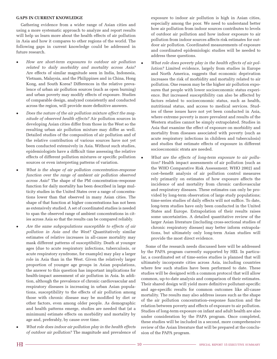#### **GAPS IN CURRENT KNOWLEDGE**

Gathering evidence from a wider range of Asian cities and using a more systematic approach to analyze and report results will help us learn more about the health effects of air pollution in Asia and how it compares to other regions of the world. The following gaps in current knowledge could be addressed in future research.

- *How are short-term exposures to outdoor air pollution related to daily morbidity and mortality across Asia?* Are effects of similar magnitude seen in India, Indonesia, Vietnam, Malaysia, and the Philippines and in China, Hong Kong, and South Korea? Differences in the relative prevalence of urban air pollution sources (such as open burning) and urban poverty may modify effects of exposure. Studies of comparable design, analyzed consistently and conducted across the region, will provide more definitive answers.
- *Does the nature of the air pollution mixture affect the magnitude of observed health effects?* Air pollution sources in developing Asian cities differ from those in the West so the resulting urban air pollution mixture may differ as well. Detailed studies of the composition of air pollution and of the relative contribution of various sources have not yet been conducted extensively in Asia. Without such studies, epidemiologists have a difficult time assessing the relative effects of different pollution mixtures or specific pollution sources or even interpreting patterns of variation.
- *What is the shape of air pollution concentration–response function over the range of ambient air pollution observed across Asia?* The shape of the PM concentration–response function for daily mortality has been described in large multicity studies in the United States over a range of concentrations lower than that observed in many Asian cities. The shape of that function at higher concentrations has not been as extensively studied. A set of coordinated studies is needed to span the observed range of ambient concentrations in cities across Asia so that the results can be compared reliably.
- *Are the same subpopulations susceptible to effects of air pollution in Asia and the West?* Quantitatively similar estimates of relative increases in all-cause mortality may mask different patterns of susceptibility. Death at younger ages (due to acute respiratory infections, tuberculosis, or acute respiratory syndrome, for example) may play a larger role in Asia than in the West. Given the relatively larger proportion of younger age groups in Asian populations, the answer to this question has important implications for health-impact assessment of air pollution in Asia. In addition, although the prevalence of chronic cardiovascular and respiratory diseases is increasing in urban Asian populations, susceptibility to the effects of air pollution among those with chronic disease may be modified by diet or other factors, even among older people. As demographic and health patterns emerge, studies are needed that (at a minimum) estimate effects on morbidity and mortality by age and, preferably, by cause over time.
- *What role does indoor air pollution play in the health effects of outdoor air pollution?* The magnitude and prevalence of

exposure to indoor air pollution is high in Asian cities, especially among the poor. We need to understand better how air pollution from indoor sources contributes to levels of outdoor air pollution and how indoor exposure to air pollution from indoor sources affects risk estimates for outdoor air pollution. Coordinated measurements of exposure and coordinated epidemiologic studies will be needed to address these questions.

- *What role does poverty play in the health effects of air pollution?* Limited evidence, largely from studies in Europe and North America, suggests that economic deprivation increases the risk of morbidity and mortality related to air pollution. One reason may be the higher air pollution exposures that people with lower socioeconomic status experience. But increased susceptibility can also be affected by factors related to socioeconomic status, such as health, nutritional status, and access to medical services. Studies of these issues have not yet been conducted in Asia, where extreme poverty is more prevalent and results of the Western studies cannot be simply extrapolated. Studies in Asia that examine the effect of exposure on morbidity and mortality from diseases associated with poverty (such as acute respiratory infections in children and tuberculosis) and studies that estimate effects of exposure in different socioeconomic strata are needed.
- *What are the effects of long-term exposure to air pollution?* Health impact assessments of air pollution (such as the WHO Comparative Risk Assessment; WHO 2002) and cost-benefit analysis of air pollution control measures rely primarily on estimates of how exposure affects the incidence of and mortality from chronic cardiovascular and respiratory diseases. These estimates can only be provided by long-term observation of large study populations; time-series studies of daily effects will not suffice. To date, long-term studies have only been conducted in the United States and Europe. Extrapolation of their results raises some uncertainties. A detailed quantitative review of the larger Asian literature (including cross-sectional studies of chronic respiratory disease) may better inform extrapolations, but ultimately only long-term Asian studies will provide the most direct evidence.

Some of the research needs discussed here will be addressed by the PAPA program currently supported by HEI. In particular, a coordinated set of time-series studies is planned that will ultimately incorporate cities across Asia, including countries where few such studies have been performed to date. These studies will be designed with a common protocol that will allow common, up-to-date analysis and comparison of their estimates. Their shared design will yield more definitive pollutant-specific and age-specific results for common outcomes like all-cause mortality. The results may also address issues such as the shape of the air pollution concentration–response function and the relation between poverty and effects of exposure to air pollution. Studies of long-term exposure on infant and adult health are also under consideration by the PAPA program. Once completed, these studies will be included in a second, more comprehensive review of the Asian literature that will be prepared at the conclusion of the PAPA program.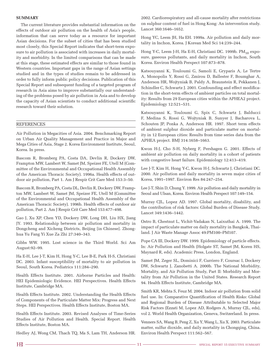#### **SUMMARY**

The current literature provides substantial information on the effects of outdoor air pollution on the health of Asia's people, information that can serve today as a resource for important Asian decisions. For the subset of cities that has been studied most closely, this Special Report indicates that short-term exposure to air pollution is associated with increases in daily mortality and morbidity. In the limited comparisons that can be made at this stage, these estimated effects are similar to those found in Western countries. Important gaps in the range of Asian settings studied and in the types of studies remain to be addressed in order to fully inform public policy decisions. Publication of this Special Report and subsequent funding of a targeted program of research in Asia aims to improve substantially our understanding of the problems posed by air pollution in Asia and to develop the capacity of Asian scientists to conduct additional scientific research toward their solution.

#### **REFERENCES**

Air Pollution in Megacities of Asia. 2004. Benchmarking Report on Urban Air Quality Management and Practice in Major and Mega Cities of Asia, Stage 2. Korea Environment Institute, Seoul, Korea. In press.

Bascom R, Bromberg PA, Costa DA, Devlin R, Dockery DW, Frampton MW, Lambert W, Samet JM, Speizer FE, Utell M (Committee of the Environmental and Occupational Health Assembly of the American Thoracic Society). 1996a. Health effects of outdoor air pollution, Part 1. Am J Respir Crit Care Med 153:3–50.

Bascom R, Bromberg PA, Costa DL, Devlin R, Dockery DW, Frampton MW, Lambert W, Samet JM, Speizer FE, Utell M (Committee of the Environmental and Occupational Health Assembly of the American Thoracic Society). 1996b. Health effects of outdoor air pollution, Part 2. Am J Respir Crit Care Med 153:477–498.

Gao J, Xu XP, Chen YD, Dockery DW, Long DH, Liu HX, Jiang JY. 1993. Relationship between air pollution and mortality in Dongcheng and Xicheng Districts, Beijing [in Chinese]. Zhonghua Yu Fang Yi Xue Za Zhi 27:340–343.

Gibbs WW. 1995. Lost science in the Third World. Sci Am August:92–99.

Ha E-H, Lee J-T, Kim H, Hong Y-C, Lee B-E, Park H-S, Christiani DC. 2003. Infant susceptibility of mortality to air pollution in Seoul, South Korea. Pediatrics 111:284–290.

Health Effects Institute. 2001. Airborne Particles and Health: HEI Epidemiologic Evidence. HEI Perspectives. Health Effects Institute, Cambridge MA.

Health Effects Institute. 2002. Understanding the Health Effects of Components of the Particulate Matter Mix: Progress and Next Steps. HEI Perspectives. Health Effects Institute, Boston MA.

Health Effects Institute. 2003. Revised Analyses of Time-Series Studies of Air Pollution and Health. Special Report. Health Effects Institute, Boston MA.

Hedley AJ, Wong CM, Thach TQ, Ma S, Lam TH, Anderson HR.

2002. Cardiorespiratory and all-cause mortality after restrictions on sulphur content of fuel in Hong Kong: An intervention study. Lancet 360:1646–1652.

Hong YC, Leem JH, Ha EH. 1999a. Air pollution and daily mortality in Inchon, Korea. J Korean Med Sci 14:239–244.

Hong Y-C, Leem J-H, Ha E-H, Christiani DC. 1999b. PM<sub>10</sub> exposure, gaseous pollutants, and daily mortality in Inchon, South Korea. Environ Health Perspect 107:873–878.

Katsouyanni K, Touloumi G, Samoli E, Gryparis A, Le Tertre A, Monopolis Y, Rossi G, Zmirou D, Ballester F, Boumghar A, Anderson HR, Wojtyniak B, Paldy A, Braunstein R, Pekkanen J, Schindler C, Schwartz J. 2001. Confounding and effect modification in the short-term effects of ambient particles on total mortality: Results from 29 European cities within the APHEA2 project. Epidemiology 12:521–531.

Katsouyanni K, Touloumi G, Spix C, Schwartz J, Balducci F, Medina S, Rossi G, Wojtyniak B, Sunyer J, Bacharova L, Schouten JP, Ponka A, Anderson HR. 1997. Short term effects of ambient sulphur dioxide and particulate matter on mortality in 12 European cities: Results from time series data from the APHEA project. BMJ 314:1658–1663.

Kwon H-J, Cho S-H, Nyberg F, Pershagen G. 2001. Effects of ambient air pollution on daily mortality in a cohort of patients with congestive heart failure. Epidemiology 12:413–419.

Lee J-T, Kim H, Hong Y-C, Kwon H-J, Schwartz J, Christiani DC. 2000. Air pollution and daily mortality in seven major cities of Korea, 1991–1997. Environ Res 84:247–254.

Lee J-T, Shin D, Chung Y. 1999. Air pollution and daily mortality in Seoul and Ulsan, Korea. Environ Health Perspect 107:149–154.

Murray CJL, Lopez AD. 1997. Global mortality, disability, and the contribution of risk factors: Global Burden of Disease Study. Lancet 349:1436–1442.

Ostro B, Chestnut L, Vichit-Vadakan N, Laixuthai A. 1999. The impact of particulate matter on daily mortality in Bangkok, Thailand. J Air Waste Manage Assoc 49:PM100–PM107.

Pope CA III, Dockery DW. 1999. Epidemiology of particle effects. In: Air Pollution and Health (Holgate ST, Samet JM, Koren HS, Maynard R, eds). Academic Press, London, England.

Samet JM, Zeger SL, Dominici F, Curriero F, Coursac I, Dockery DW, Schwartz J, Zanobetti A. 2000b. The National Morbidity, Mortality, and Air Pollution Study, Part II: Morbidity and Mortality from Air Pollution in the United States. Research Report 94. Health Effects Institute, Cambridge MA.

Smith KR, Mehta S, Feuz M. 2004. Indoor air pollution from solid fuel use. In: Comparative Quantification of Health Risks: Global and Regional Burden of Disease Attributable to Selected Major Risk Factors (Ezzati M, Lopez AD, Rodgers A, Murray CJL, eds), vol 2. World Health Organization, Geneva, Switzerland. In press.

Venners SA, Wang B, Peng Z, Xu Y, Wang L, Xu X. 2003. Particulate matter, sulfur dioxide, and daily mortality in Chongqing, China. Environ Health Perspect 111:562–567.